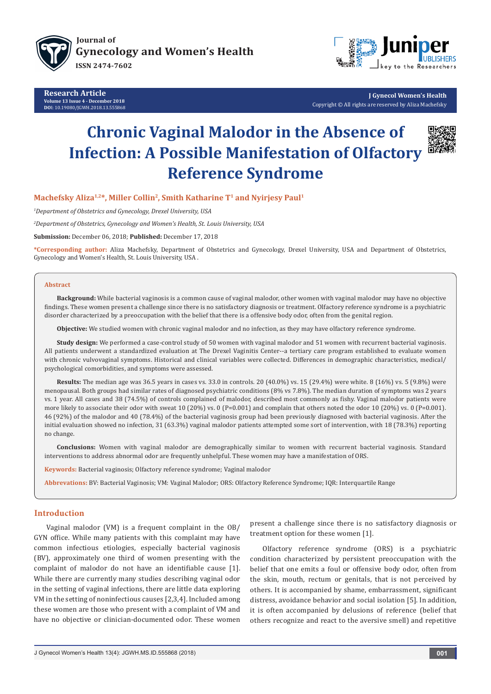

**Research Article Volume 13 Issue 4 - December 2018 DO**I: [10.19080/JGWH.2018.13.555868](http://dx.doi.org/10.19080/JGWH.2018.13.555868)



**J Gynecol Women's Health** Copyright © All rights are reserved by Aliza Machefsky

# **Chronic Vaginal Malodor in the Absence of Infection: A Possible Manifestation of Olfactory Reference Syndrome**



# Machefsky Aliza<sup>1,2\*</sup>, Miller Collin<sup>2</sup>, Smith Katharine T<sup>1</sup> and Nyirjesy Paul<sup>1</sup>

*1 Department of Obstetrics and Gynecology, Drexel University, USA* 

*2 Department of Obstetrics, Gynecology and Women's Health, St. Louis University, USA* 

**Submission:** December 06, 2018; **Published:** December 17, 2018

**\*Corresponding author:** Aliza Machefsky, Department of Obstetrics and Gynecology, Drexel University, USA and Department of Obstetrics, Gynecology and Women's Health, St. Louis University, USA .

### **Abstract**

**Background:** While bacterial vaginosis is a common cause of vaginal malodor, other women with vaginal malodor may have no objective findings. These women present a challenge since there is no satisfactory diagnosis or treatment. Olfactory reference syndrome is a psychiatric disorder characterized by a preoccupation with the belief that there is a offensive body odor, often from the genital region.

**Objective:** We studied women with chronic vaginal malodor and no infection, as they may have olfactory reference syndrome.

**Study design:** We performed a case-control study of 50 women with vaginal malodor and 51 women with recurrent bacterial vaginosis. All patients underwent a standardized evaluation at The Drexel Vaginitis Center--a tertiary care program established to evaluate women with chronic vulvovaginal symptoms. Historical and clinical variables were collected. Differences in demographic characteristics, medical/ psychological comorbidities, and symptoms were assessed.

**Results:** The median age was 36.5 years in cases vs. 33.0 in controls. 20 (40.0%) vs. 15 (29.4%) were white. 8 (16%) vs. 5 (9.8%) were menopausal. Both groups had similar rates of diagnosed psychiatric conditions (8% vs 7.8%). The median duration of symptoms was 2 years vs. 1 year. All cases and 38 (74.5%) of controls complained of malodor, described most commonly as fishy. Vaginal malodor patients were more likely to associate their odor with sweat 10 (20%) vs. 0 (P=0.001) and complain that others noted the odor 10 (20%) vs. 0 (P=0.001). 46 (92%) of the malodor and 40 (78.4%) of the bacterial vaginosis group had been previously diagnosed with bacterial vaginosis. After the initial evaluation showed no infection, 31 (63.3%) vaginal malodor patients attempted some sort of intervention, with 18 (78.3%) reporting no change.

**Conclusions:** Women with vaginal malodor are demographically similar to women with recurrent bacterial vaginosis. Standard interventions to address abnormal odor are frequently unhelpful. These women may have a manifestation of ORS.

**Keywords:** Bacterial vaginosis; Olfactory reference syndrome; Vaginal malodor

**Abbrevations:** BV: Bacterial Vaginosis; VM: Vaginal Malodor; ORS: Olfactory Reference Syndrome; IQR: Interquartile Range

## **Introduction**

Vaginal malodor (VM) is a frequent complaint in the OB/ GYN office. While many patients with this complaint may have common infectious etiologies, especially bacterial vaginosis (BV), approximately one third of women presenting with the complaint of malodor do not have an identifiable cause [1]. While there are currently many studies describing vaginal odor in the setting of vaginal infections, there are little data exploring VM in the setting of noninfectious causes [2,3,4]. Included among these women are those who present with a complaint of VM and have no objective or clinician-documented odor. These women

present a challenge since there is no satisfactory diagnosis or treatment option for these women [1].

Olfactory reference syndrome (ORS) is a psychiatric condition characterized by persistent preoccupation with the belief that one emits a foul or offensive body odor, often from the skin, mouth, rectum or genitals, that is not perceived by others. It is accompanied by shame, embarrassment, significant distress, avoidance behavior and social isolation [5]. In addition, it is often accompanied by delusions of reference (belief that others recognize and react to the aversive smell) and repetitive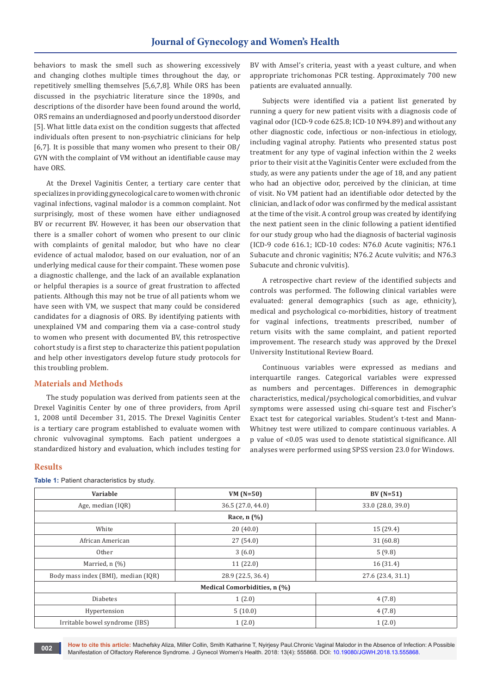behaviors to mask the smell such as showering excessively and changing clothes multiple times throughout the day, or repetitively smelling themselves [5,6,7,8]. While ORS has been discussed in the psychiatric literature since the 1890s, and descriptions of the disorder have been found around the world, ORS remains an underdiagnosed and poorly understood disorder [5]. What little data exist on the condition suggests that affected individuals often present to non-psychiatric clinicians for help [6,7]. It is possible that many women who present to their OB/ GYN with the complaint of VM without an identifiable cause may have ORS.

At the Drexel Vaginitis Center, a tertiary care center that specializes in providing gynecological care to women with chronic vaginal infections, vaginal malodor is a common complaint. Not surprisingly, most of these women have either undiagnosed BV or recurrent BV. However, it has been our observation that there is a smaller cohort of women who present to our clinic with complaints of genital malodor, but who have no clear evidence of actual malodor, based on our evaluation, nor of an underlying medical cause for their compaint. These women pose a diagnostic challenge, and the lack of an available explanation or helpful therapies is a source of great frustration to affected patients. Although this may not be true of all patients whom we have seen with VM, we suspect that many could be considered candidates for a diagnosis of ORS. By identifying patients with unexplained VM and comparing them via a case-control study to women who present with documented BV, this retrospective cohort study is a first step to characterize this patient population and help other investigators develop future study protocols for this troubling problem.

## **Materials and Methods**

The study population was derived from patients seen at the Drexel Vaginitis Center by one of three providers, from April 1, 2008 until December 31, 2015. The Drexel Vaginitis Center is a tertiary care program established to evaluate women with chronic vulvovaginal symptoms. Each patient undergoes a standardized history and evaluation, which includes testing for

## **Results**

**VARIABLE 88 CONTRACTE 12 CONTRACT VALUE ASSESSED. THE VALUE OF STRAIGHT OF STRAIGHT AT A POINT OF STRAIGHT OF STRAIGHT OF STRAIGHT OF STRAIGHT OF STRAIGHT OF STRAIGHT OF STRAIGHT OF STRAIGHT OF STRAIGHT OF STRAIGHT OF STR** Age, median (IQR) 33.0 (28.0, 39.0) 33.0 (28.0, 39.0) **Race, n (%)** White  $20 (40.0)$  15 (29.4) African American 27 (54.0) 31 (60.8) Other 5 (9.8)  $(9.8)$ Married, n (%)  $11$  (22.0) 16 (31.4) Body mass index (BMI), median (IQR) 28.9 (22.5, 36.4) 27.6 (23.4, 31.1) **Medical Comorbidities, n (%)** Diabetes  $1 (2.0)$  4 (7.8) Hypertension  $\begin{vmatrix} 10.0 \end{vmatrix}$  (10.0)  $\begin{vmatrix} 4 \end{vmatrix}$  (7.8) Irritable bowel syndrome (IBS)  $1 (2.0)$   $1 (2.0)$ 

**Table 1:** Patient characteristics by study.

BV with Amsel's criteria, yeast with a yeast culture, and when appropriate trichomonas PCR testing. Approximately 700 new patients are evaluated annually.

Subjects were identified via a patient list generated by running a query for new patient visits with a diagnosis code of vaginal odor (ICD-9 code 625.8; ICD-10 N94.89) and without any other diagnostic code, infectious or non-infectious in etiology, including vaginal atrophy. Patients who presented status post treatment for any type of vaginal infection within the 2 weeks prior to their visit at the Vaginitis Center were excluded from the study, as were any patients under the age of 18, and any patient who had an objective odor, perceived by the clinician, at time of visit. No VM patient had an identifiable odor detected by the clinician, and lack of odor was confirmed by the medical assistant at the time of the visit. A control group was created by identifying the next patient seen in the clinic following a patient identified for our study group who had the diagnosis of bacterial vaginosis (ICD-9 code 616.1; ICD-10 codes: N76.0 Acute vaginitis; N76.1 Subacute and chronic vaginitis; N76.2 Acute vulvitis; and N76.3 Subacute and chronic vulvitis).

A retrospective chart review of the identified subjects and controls was performed. The following clinical variables were evaluated: general demographics (such as age, ethnicity), medical and psychological co-morbidities, history of treatment for vaginal infections, treatments prescribed, number of return visits with the same complaint, and patient reported improvement. The research study was approved by the Drexel University Institutional Review Board.

Continuous variables were expressed as medians and interquartile ranges. Categorical variables were expressed as numbers and percentages. Differences in demographic characteristics, medical/psychological comorbidities, and vulvar symptoms were assessed using chi-square test and Fischer's Exact test for categorical variables. Student's t-test and Mann-Whitney test were utilized to compare continuous variables. A p value of <0.05 was used to denote statistical significance. All analyses were performed using SPSS version 23.0 for Windows.

**How to cite this article:** Machefsky Aliza, Miller Collin, Smith Katharine T, Nyirjesy Paul.Chronic Vaginal Malodor in the Absence of Infection: A Possible Manifestation of Olfactory Reference Syndrome. J Gynecol Women's Health. 2018: 13(4): 555868. DOI: [10.19080/JGWH.2018.13.555868.](http://dx.doi.org/10.19080/JGWH.2018.13.555868) **<sup>002</sup>**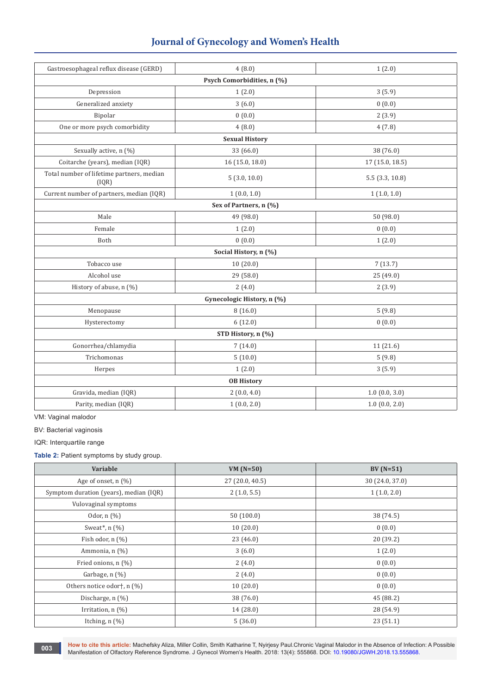| Journal of Gynecology and Women's Health |  |  |
|------------------------------------------|--|--|
|------------------------------------------|--|--|

| Gastroesophageal reflux disease (GERD)             | 4(8.0)                     | 1(2.0)          |  |  |
|----------------------------------------------------|----------------------------|-----------------|--|--|
| Psych Comorbidities, n (%)                         |                            |                 |  |  |
| Depression                                         | 1(2.0)                     | 3(5.9)          |  |  |
| Generalized anxiety                                | 3(6.0)                     | 0(0.0)          |  |  |
| Bipolar                                            | 0(0.0)                     | 2(3.9)          |  |  |
| One or more psych comorbidity                      | 4(8.0)                     | 4(7.8)          |  |  |
|                                                    | <b>Sexual History</b>      |                 |  |  |
| Sexually active, n (%)                             | 33 (66.0)                  | 38 (76.0)       |  |  |
| Coitarche (years), median (IQR)                    | 16 (15.0, 18.0)            | 17 (15.0, 18.5) |  |  |
| Total number of lifetime partners, median<br>[IQR] | 5(3.0, 10.0)               | 5.5(3.3, 10.8)  |  |  |
| Current number of partners, median (IQR)           | 1(0.0, 1.0)                | 1(1.0, 1.0)     |  |  |
| Sex of Partners, n (%)                             |                            |                 |  |  |
| Male                                               | 49 (98.0)                  | 50 (98.0)       |  |  |
| Female                                             | 1(2.0)                     | 0(0.0)          |  |  |
| Both                                               | 0(0.0)                     | 1(2.0)          |  |  |
| Social History, n (%)                              |                            |                 |  |  |
| Tobacco use                                        | 10(20.0)                   | 7(13.7)         |  |  |
| Alcohol use                                        | 29 (58.0)                  | 25 (49.0)       |  |  |
| History of abuse, n (%)                            | 2(4.0)                     | 2(3.9)          |  |  |
|                                                    | Gynecologic History, n (%) |                 |  |  |
| Menopause                                          | 8(16.0)                    | 5(9.8)          |  |  |
| Hysterectomy                                       | 6(12.0)                    | 0(0.0)          |  |  |
| STD History, n (%)                                 |                            |                 |  |  |
| Gonorrhea/chlamydia                                | 7(14.0)                    | 11 (21.6)       |  |  |
| Trichomonas                                        | 5(10.0)                    | 5(9.8)          |  |  |
| Herpes                                             | 1(2.0)                     | 3(5.9)          |  |  |
| <b>OB History</b>                                  |                            |                 |  |  |
| Gravida, median (IQR)                              | 2(0.0, 4.0)                | 1.0(0.0, 3.0)   |  |  |
| Parity, median (IQR)                               | 1(0.0, 2.0)                | 1.0(0.0, 2.0)   |  |  |

VM: Vaginal malodor

BV: Bacterial vaginosis

IQR: Interquartile range

**Table 2:** Patient symptoms by study group.

| Variable                               | VM $(N=50)$     | $BV(N=51)$      |
|----------------------------------------|-----------------|-----------------|
| Age of onset, $n$ (%)                  | 27 (20.0, 40.5) | 30 (24.0, 37.0) |
| Symptom duration (years), median (IQR) | 2(1.0, 5.5)     | 1(1.0, 2.0)     |
| Vulovaginal symptoms                   |                 |                 |
| Odor, $n$ $(\%)$                       | 50(100.0)       | 38 (74.5)       |
| Sweat*, $n$ $(\%)$                     | 10(20.0)        | 0(0.0)          |
| Fish odor, $n$ $(\%)$                  | 23(46.0)        | 20 (39.2)       |
| Ammonia, n (%)                         | 3(6.0)          | 1(2.0)          |
| Fried onions, n (%)                    | 2(4.0)          | 0(0.0)          |
| Garbage, $n$ $(\%)$                    | 2(4.0)          | 0(0.0)          |
| Others notice odor†, n (%)             | 10(20.0)        | 0(0.0)          |
| Discharge, $n$ (%)                     | 38 (76.0)       | 45 (88.2)       |
| Irritation, $n$ $(\%)$                 | 14(28.0)        | 28 (54.9)       |
| Itching, $n$ $(\%)$                    | 5(36.0)         | 23(51.1)        |

**How to cite this article:** Machefsky Aliza, Miller Collin, Smith Katharine T, Nyirjesy Paul.Chronic Vaginal Malodor in the Absence of Infection: A Possible Manifestation of Olfactory Reference Syndrome. J Gynecol Women's Health. 2018: 13(4): 555868. DOI: [10.19080/JGWH.2018.13.555868.](http://dx.doi.org/10.19080/JGWH.2018.13.555868)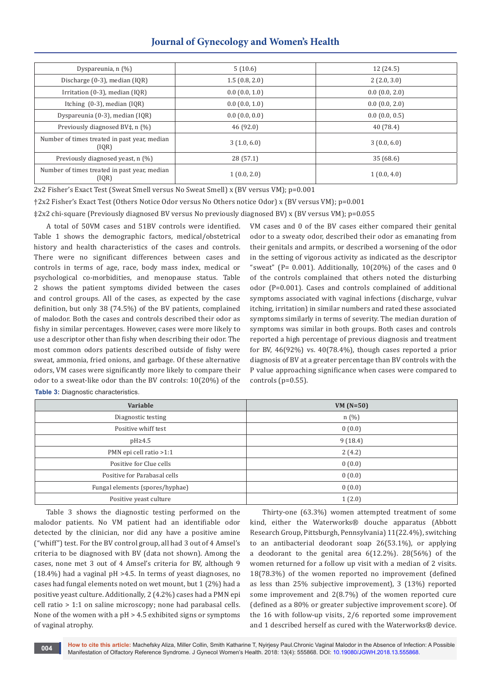# **Journal of Gynecology and Women's Health**

| Dyspareunia, $n$ $(\%)$                               | 5(10.6)       | 12(24.5)         |
|-------------------------------------------------------|---------------|------------------|
| Discharge $(0-3)$ , median $(1QR)$                    | 1.5(0.8, 2.0) | 2(2.0, 3.0)      |
| Irritation (0-3), median (IQR)                        | 0.0(0.0, 1.0) | 0.0(0.0, 2.0)    |
| Itching $(0-3)$ , median $(1QR)$                      | 0.0(0.0, 1.0) | 0.0(0.0, 2.0)    |
| Dyspareunia (0-3), median (IQR)                       | 0.0(0.0, 0.0) | $0.0$ (0.0, 0.5) |
| Previously diagnosed BV‡, n (%)                       | 46 (92.0)     | 40 (78.4)        |
| Number of times treated in past year, median<br>(IQR) | 3(1.0, 6.0)   | 3(0.0, 6.0)      |
| Previously diagnosed yeast, n (%)                     | 28(57.1)      | 35(68.6)         |
| Number of times treated in past year, median<br>(IQR) | 1(0.0, 2.0)   | 1(0.0, 4.0)      |

2x2 Fisher's Exact Test (Sweat Smell versus No Sweat Smell) x (BV versus VM); p=0.001

†2x2 Fisher's Exact Test (Others Notice Odor versus No Others notice Odor) x (BV versus VM); p=0.001

‡2x2 chi-square (Previously diagnosed BV versus No previously diagnosed BV) x (BV versus VM); p=0.055

A total of 50VM cases and 51BV controls were identified. Table 1 shows the demographic factors, medical/obstetrical history and health characteristics of the cases and controls. There were no significant differences between cases and controls in terms of age, race, body mass index, medical or psychological co-morbidities, and menopause status. Table 2 shows the patient symptoms divided between the cases and control groups. All of the cases, as expected by the case definition, but only 38 (74.5%) of the BV patients, complained of malodor. Both the cases and controls described their odor as fishy in similar percentages. However, cases were more likely to use a descriptor other than fishy when describing their odor. The most common odors patients described outside of fishy were sweat, ammonia, fried onions, and garbage. Of these alternative odors, VM cases were significantly more likely to compare their odor to a sweat-like odor than the BV controls: 10(20%) of the **Table 3:** Diagnostic characteristics.

VM cases and 0 of the BV cases either compared their genital odor to a sweaty odor, described their odor as emanating from their genitals and armpits, or described a worsening of the odor in the setting of vigorous activity as indicated as the descriptor "sweat" (P=  $0.001$ ). Additionally,  $10(20%)$  of the cases and 0 of the controls complained that others noted the disturbing odor (P=0.001). Cases and controls complained of additional symptoms associated with vaginal infections (discharge, vulvar itching, irritation) in similar numbers and rated these associated symptoms similarly in terms of severity. The median duration of symptoms was similar in both groups. Both cases and controls reported a high percentage of previous diagnosis and treatment for BV, 46(92%) vs. 40(78.4%), though cases reported a prior diagnosis of BV at a greater percentage than BV controls with the P value approaching significance when cases were compared to controls (p=0.55).

| Variable                        | $VM(N=50)$ |
|---------------------------------|------------|
| Diagnostic testing              | n(%)       |
| Positive whiff test             | 0(0.0)     |
| $pH \geq 4.5$                   | 9(18.4)    |
| PMN epi cell ratio >1:1         | 2(4.2)     |
| Positive for Clue cells         | 0(0.0)     |
| Positive for Parabasal cells    | 0(0.0)     |
| Fungal elements (spores/hyphae) | 0(0.0)     |
| Positive yeast culture          | 1(2.0)     |

Table 3 shows the diagnostic testing performed on the malodor patients. No VM patient had an identifiable odor detected by the clinician, nor did any have a positive amine ("whiff") test. For the BV control group, all had 3 out of 4 Amsel's criteria to be diagnosed with BV (data not shown). Among the cases, none met 3 out of 4 Amsel's criteria for BV, although 9 (18.4%) had a vaginal pH >4.5. In terms of yeast diagnoses, no cases had fungal elements noted on wet mount, but 1 (2%) had a positive yeast culture. Additionally, 2 (4.2%) cases had a PMN epi cell ratio > 1:1 on saline microscopy; none had parabasal cells. None of the women with a pH > 4.5 exhibited signs or symptoms of vaginal atrophy.

Thirty-one (63.3%) women attempted treatment of some kind, either the Waterworks® douche apparatus (Abbott Research Group, Pittsburgh, Pennsylvania) 11(22.4%), switching to an antibacterial deodorant soap 26(53.1%), or applying a deodorant to the genital area 6(12.2%). 28(56%) of the women returned for a follow up visit with a median of 2 visits. 18(78.3%) of the women reported no improvement (defined as less than 25% subjective improvement), 3 (13%) reported some improvement and 2(8.7%) of the women reported cure (defined as a 80% or greater subjective improvement score). Of the 16 with follow-up visits, 2/6 reported some improvement and 1 described herself as cured with the Waterworks® device.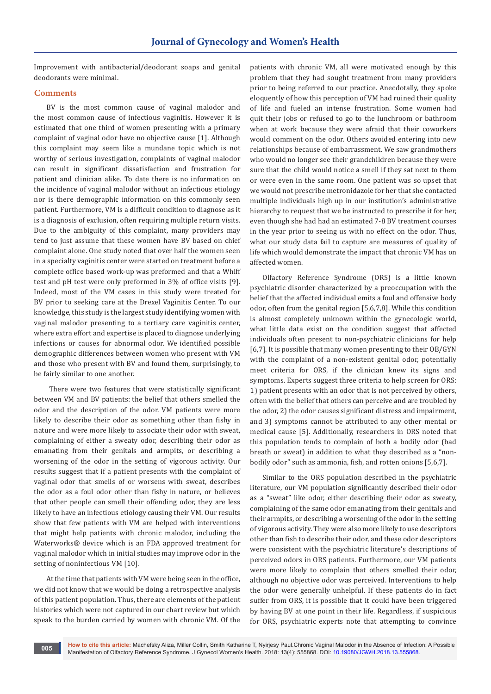Improvement with antibacterial/deodorant soaps and genital deodorants were minimal.

## **Comments**

BV is the most common cause of vaginal malodor and the most common cause of infectious vaginitis. However it is estimated that one third of women presenting with a primary complaint of vaginal odor have no objective cause [1]. Although this complaint may seem like a mundane topic which is not worthy of serious investigation, complaints of vaginal malodor can result in significant dissatisfaction and frustration for patient and clinician alike. To date there is no information on the incidence of vaginal malodor without an infectious etiology nor is there demographic information on this commonly seen patient. Furthermore, VM is a difficult condition to diagnose as it is a diagnosis of exclusion, often requiring multiple return visits. Due to the ambiguity of this complaint, many providers may tend to just assume that these women have BV based on chief complaint alone. One study noted that over half the women seen in a specialty vaginitis center were started on treatment before a complete office based work-up was preformed and that a Whiff test and pH test were only preformed in 3% of office visits [9]. Indeed, most of the VM cases in this study were treated for BV prior to seeking care at the Drexel Vaginitis Center. To our knowledge, this study is the largest study identifying women with vaginal malodor presenting to a tertiary care vaginitis center, where extra effort and expertise is placed to diagnose underlying infections or causes for abnormal odor. We identified possible demographic differences between women who present with VM and those who present with BV and found them, surprisingly, to be fairly similar to one another.

 There were two features that were statistically significant between VM and BV patients: the belief that others smelled the odor and the description of the odor. VM patients were more likely to describe their odor as something other than fishy in nature and were more likely to associate their odor with sweat, complaining of either a sweaty odor, describing their odor as emanating from their genitals and armpits, or describing a worsening of the odor in the setting of vigorous activity. Our results suggest that if a patient presents with the complaint of vaginal odor that smells of or worsens with sweat, describes the odor as a foul odor other than fishy in nature, or believes that other people can smell their offending odor, they are less likely to have an infectious etiology causing their VM. Our results show that few patients with VM are helped with interventions that might help patients with chronic malodor, including the Waterworks® device which is an FDA approved treatment for vaginal malodor which in initial studies may improve odor in the setting of noninfectious VM [10].

At the time that patients with VM were being seen in the office, we did not know that we would be doing a retrospective analysis of this patient population. Thus, there are elements of the patient histories which were not captured in our chart review but which speak to the burden carried by women with chronic VM. Of the

**005**

patients with chronic VM, all were motivated enough by this problem that they had sought treatment from many providers prior to being referred to our practice. Anecdotally, they spoke eloquently of how this perception of VM had ruined their quality of life and fueled an intense frustration. Some women had quit their jobs or refused to go to the lunchroom or bathroom when at work because they were afraid that their coworkers would comment on the odor. Others avoided entering into new relationships because of embarrassment. We saw grandmothers who would no longer see their grandchildren because they were sure that the child would notice a smell if they sat next to them or were even in the same room. One patient was so upset that we would not prescribe metronidazole for her that she contacted multiple individuals high up in our institution's administrative hierarchy to request that we be instructed to prescribe it for her, even though she had had an estimated 7-8 BV treatment courses in the year prior to seeing us with no effect on the odor. Thus, what our study data fail to capture are measures of quality of life which would demonstrate the impact that chronic VM has on affected women.

Olfactory Reference Syndrome (ORS) is a little known psychiatric disorder characterized by a preoccupation with the belief that the affected individual emits a foul and offensive body odor, often from the genital region [5,6,7,8]. While this condition is almost completely unknown within the gynecologic world, what little data exist on the condition suggest that affected individuals often present to non-psychiatric clinicians for help [6,7]. It is possible that many women presenting to their OB/GYN with the complaint of a non-existent genital odor, potentially meet criteria for ORS, if the clinician knew its signs and symptoms. Experts suggest three criteria to help screen for ORS: 1) patient presents with an odor that is not perceived by others, often with the belief that others can perceive and are troubled by the odor, 2) the odor causes significant distress and impairment, and 3) symptoms cannot be attributed to any other mental or medical cause [5]. Additionally, researchers in ORS noted that this population tends to complain of both a bodily odor (bad breath or sweat) in addition to what they described as a "nonbodily odor" such as ammonia, fish, and rotten onions [5,6,7].

Similar to the ORS population described in the psychiatric literature, our VM population significantly described their odor as a "sweat" like odor, either describing their odor as sweaty, complaining of the same odor emanating from their genitals and their armpits, or describing a worsening of the odor in the setting of vigorous activity. They were also more likely to use descriptors other than fish to describe their odor, and these odor descriptors were consistent with the psychiatric literature's descriptions of perceived odors in ORS patients. Furthermore, our VM patients were more likely to complain that others smelled their odor, although no objective odor was perceived. Interventions to help the odor were generally unhelpful. If these patients do in fact suffer from ORS, it is possible that it could have been triggered by having BV at one point in their life. Regardless, if suspicious for ORS, psychiatric experts note that attempting to convince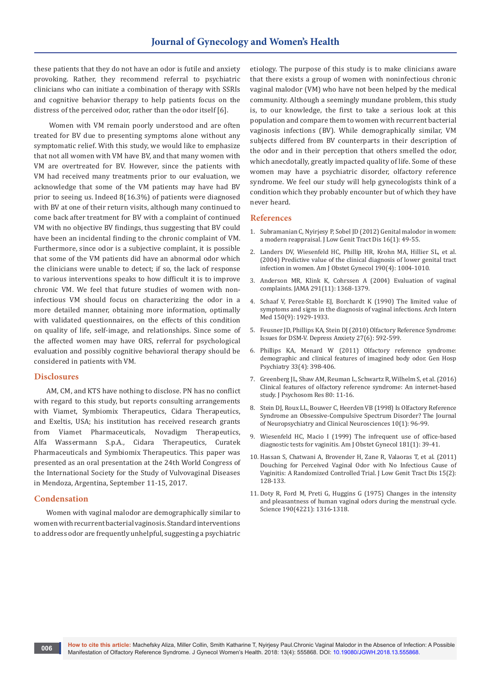these patients that they do not have an odor is futile and anxiety provoking. Rather, they recommend referral to psychiatric clinicians who can initiate a combination of therapy with SSRIs and cognitive behavior therapy to help patients focus on the distress of the perceived odor, rather than the odor itself [6].

 Women with VM remain poorly understood and are often treated for BV due to presenting symptoms alone without any symptomatic relief. With this study, we would like to emphasize that not all women with VM have BV, and that many women with VM are overtreated for BV. However, since the patients with VM had received many treatments prior to our evaluation, we acknowledge that some of the VM patients may have had BV prior to seeing us. Indeed 8(16.3%) of patients were diagnosed with BV at one of their return visits, although many continued to come back after treatment for BV with a complaint of continued VM with no objective BV findings, thus suggesting that BV could have been an incidental finding to the chronic complaint of VM. Furthermore, since odor is a subjective complaint, it is possible that some of the VM patients did have an abnormal odor which the clinicians were unable to detect; if so, the lack of response to various interventions speaks to how difficult it is to improve chronic VM. We feel that future studies of women with noninfectious VM should focus on characterizing the odor in a more detailed manner, obtaining more information, optimally with validated questionnaires, on the effects of this condition on quality of life, self-image, and relationships. Since some of the affected women may have ORS, referral for psychological evaluation and possibly cognitive behavioral therapy should be considered in patients with VM.

## **Disclosures**

AM, CM, and KTS have nothing to disclose. PN has no conflict with regard to this study, but reports consulting arrangements with Viamet, Symbiomix Therapeutics, Cidara Therapeutics, and Exeltis, USA; his institution has received research grants from Viamet Pharmaceuticals, Novadigm Therapeutics, Alfa Wassermann S.p.A., Cidara Therapeutics, Curatek Pharmaceuticals and Symbiomix Therapeutics. This paper was presented as an oral presentation at the 24th World Congress of the International Society for the Study of Vulvovaginal Diseases in Mendoza, Argentina, September 11-15, 2017.

## **Condensation**

Women with vaginal malodor are demographically similar to women with recurrent bacterial vaginosis. Standard interventions to address odor are frequently unhelpful, suggesting a psychiatric etiology. The purpose of this study is to make clinicians aware that there exists a group of women with noninfectious chronic vaginal malodor (VM) who have not been helped by the medical community. Although a seemingly mundane problem, this study is, to our knowledge, the first to take a serious look at this population and compare them to women with recurrent bacterial vaginosis infections (BV). While demographically similar, VM subjects differed from BV counterparts in their description of the odor and in their perception that others smelled the odor, which anecdotally, greatly impacted quality of life. Some of these women may have a psychiatric disorder, olfactory reference syndrome. We feel our study will help gynecologists think of a condition which they probably encounter but of which they have never heard.

### **References**

- 1. [Subramanian C, Nyirjesy P, Sobel JD \(2012\) Genital malodor in women:](https://www.ncbi.nlm.nih.gov/pubmed/21964208)  [a modern reappraisal. J Low Genit Tract Dis 16\(1\): 49-55.](https://www.ncbi.nlm.nih.gov/pubmed/21964208)
- 2. [Landers DV, Wiesenfeld HC, Phillip HR, Krohn MA, Hillier SL, et al.](https://www.ncbi.nlm.nih.gov/pubmed/15118630)  [\(2004\) Predictive value of the clinical diagnosis of lower genital tract](https://www.ncbi.nlm.nih.gov/pubmed/15118630)  [infection in women. Am J Obstet Gynecol 190\(4\): 1004-1010.](https://www.ncbi.nlm.nih.gov/pubmed/15118630)
- 3. [Anderson MR, Klink K, Cohrssen A \(2004\) Evaluation of vaginal](https://www.ncbi.nlm.nih.gov/pubmed/15026404)  [complaints. JAMA 291\(11\): 1368-1379.](https://www.ncbi.nlm.nih.gov/pubmed/15026404)
- 4. [Schaaf V, Perez-Stable EJ, Borchardt K \(1990\) The limited value of](https://www.ncbi.nlm.nih.gov/pubmed/2393324)  [symptoms and signs in the diagnosis of vaginal infections. Arch Intern](https://www.ncbi.nlm.nih.gov/pubmed/2393324)  [Med 150\(9\): 1929-1933.](https://www.ncbi.nlm.nih.gov/pubmed/2393324)
- 5. [Feusner JD, Phillips KA, Stein DJ \(2010\) Olfactory Reference Syndrome:](https://www.ncbi.nlm.nih.gov/pubmed/20533369)  [Issues for DSM-V. Depress Anxiety 27\(6\): 592-599.](https://www.ncbi.nlm.nih.gov/pubmed/20533369)
- 6. [Phillips KA, Menard W \(2011\) Olfactory reference syndrome:](https://www.ncbi.nlm.nih.gov/pubmed/21762838)  [demographic and clinical features of imagined body odor. Gen Hosp](https://www.ncbi.nlm.nih.gov/pubmed/21762838)  [Psychiatry 33\(4\): 398-406.](https://www.ncbi.nlm.nih.gov/pubmed/21762838)
- 7. [Greenberg JL, Shaw AM, Reuman L, Schwartz R, Wilhelm S, et al. \(2016\)](https://www.ncbi.nlm.nih.gov/pubmed/26721542)  [Clinical features of olfactory reference syndrome: An internet-based](https://www.ncbi.nlm.nih.gov/pubmed/26721542)  [study. J Psychosom Res 80: 11-16.](https://www.ncbi.nlm.nih.gov/pubmed/26721542)
- 8. [Stein DJ, Roux LL, Bouwer C, Heerden VB \(1998\) Is Olfactory Reference](https://neuro.psychiatryonline.org/doi/full/10.1176/jnp.10.1.96)  [Syndrome an Obsessive-Compulsive Spectrum Disorder? The Journal](https://neuro.psychiatryonline.org/doi/full/10.1176/jnp.10.1.96)  [of Neuropsychiatry and Clinical Neurosciences 10\(1\): 96-99.](https://neuro.psychiatryonline.org/doi/full/10.1176/jnp.10.1.96)
- 9. [Wiesenfeld HC, Macio I \(1999\) The infrequent use of office-based](https://www.ncbi.nlm.nih.gov/pubmed/10411793)  [diagnostic tests for vaginitis. Am J Obstet Gynecol 181\(1\): 39-41.](https://www.ncbi.nlm.nih.gov/pubmed/10411793)
- 10. [Hassan S, Chatwani A, Brovender H, Zane R, Valaoras T, et al. \(2011\)](https://www.ncbi.nlm.nih.gov/pubmed/21263351)  [Douching for Perceived Vaginal Odor with No Infectious Cause of](https://www.ncbi.nlm.nih.gov/pubmed/21263351)  [Vaginitis: A Randomized Controlled Trial. J Low Genit Tract Dis 15\(2\):](https://www.ncbi.nlm.nih.gov/pubmed/21263351)  [128-133.](https://www.ncbi.nlm.nih.gov/pubmed/21263351)
- 11. [Doty R, Ford M, Preti G, Huggins G \(1975\) Changes in the intensity](https://www.ncbi.nlm.nih.gov/pubmed/1239080)  [and pleasantness of human vaginal odors during the menstrual cycle.](https://www.ncbi.nlm.nih.gov/pubmed/1239080)  [Science 190\(4221\): 1316-1318.](https://www.ncbi.nlm.nih.gov/pubmed/1239080)